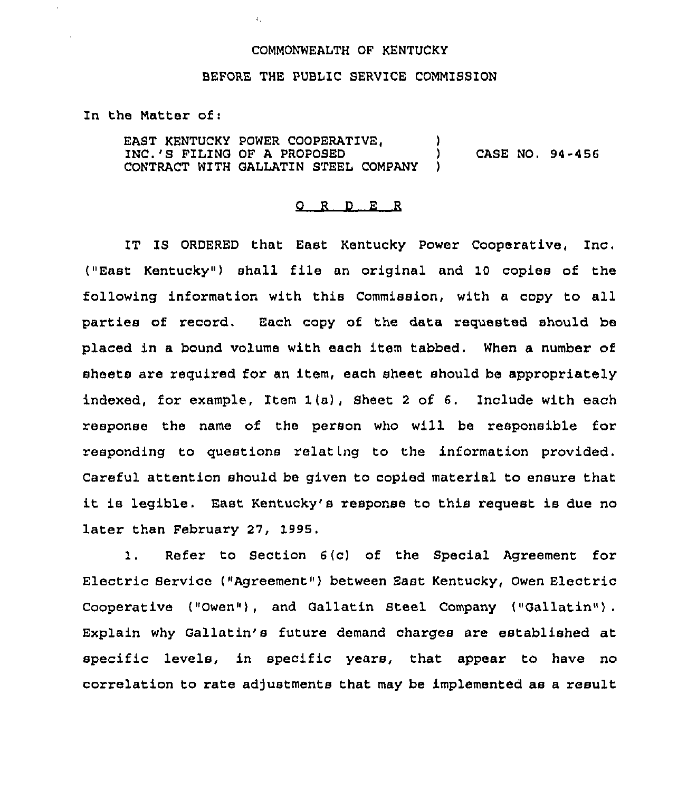# COMMONWEALTH OF KENTUCKY

 $\overline{1}$ .

# BEFORE THE PUBLIC SERVICE COMMISSION

In the Matter of:

EAST KENTUCKY POWER COOPERATIVE. INC.'S FILING OF A PROPOSED ) CASE NO. 94-456 CONTRACT WITH GALLATIN STEEL COMPANY

### 0 <sup>R</sup> <sup>D</sup> <sup>E</sup> <sup>R</sup>

IT IS ORDERED that East Kentucky Power Cooperative, Inc. ("East Kentucky") shall file an original and 10 copies of the following infoxmation with this Commission, with a copy to all parties of recoxd. Each copy of the data requested should be placed in a bound volume with each item tabbed. When a number of sheets are required for an item, each sheet should be appropriately indexed, for example, Item 1(a), Sheet <sup>2</sup> of 6. Include with each response the name of the person who will be responsible for xesponding to questions relat Lng to the information provided. Caxeful attention should be given to copied material to ensure that it is legible. East Kentucky's response to this request is due no later than February 27, 1995.

1. Refer to Section 6(c) of the Special Agreement for Electric Service ("Agreement") between East Kentucky, Owen Electric Cooperative ("Owen"), and Gallatin Steel Company ("Gallatin"). Explain why Gallatin's future demand charges are established at specific levels, in specific years, that appear to have no correlation to rate adjustments that may be implemented as a result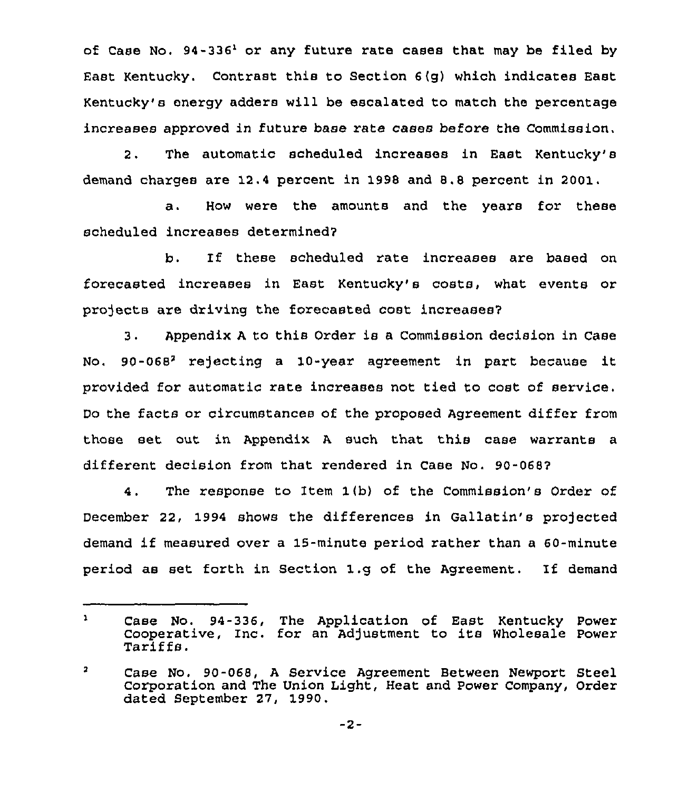of Case No.  $94-336$  or any future rate cases that may be filed by East Kentucky. Contrast this to Section  $6(q)$  which indicates East Kentucky's energy adders will be escalated to match the percentage increases approved in future base rate cases before the Commission,

2. The automatic scheduled increases in East Kentucky's demand charges are 12.4 percent in 1998 and 8.8 percent in 2001.

a. How were the amounts and the years for these scheduled increases determined7

b. If these scheduled x'ate increases are based on forecasted increases in East Kentucky's costs, what events or projects are driving the forecasted cost increases?

3. Appendix <sup>A</sup> to this Order is a Commission decision in Case No. 90-068<sup>2</sup> rejecting a 10-year agreement in part because it provided for automatic rate incxeases not tied to cost of service. Do the facts or circumstances of the proposed Agreement differ from those set out in Appendix <sup>A</sup> such that this case waxrants a different decision from that rendered in Case No. 90-068?

4. The response to Item 1(b) of the Commission's Order of December 22, 1994 shows the differences in Gallatin's projected demand if measured over <sup>a</sup> 15-minute period rather than <sup>a</sup> 60-minute period as set forth in Section 1.g of the Agreement. If demand

 $\mathbf{a}$ Case No. 94-336, The Application of East Kentucky Power Cooperative, Inc. for an Adjustment to its Wholesale Power<br>Tariffs.

 $\overline{\mathbf{z}}$ Case No. 90-068, <sup>A</sup> Service Agreement Between Newport Steel Corporation and The Union Light, Heat and Power Company, Order dated September 27, 1990.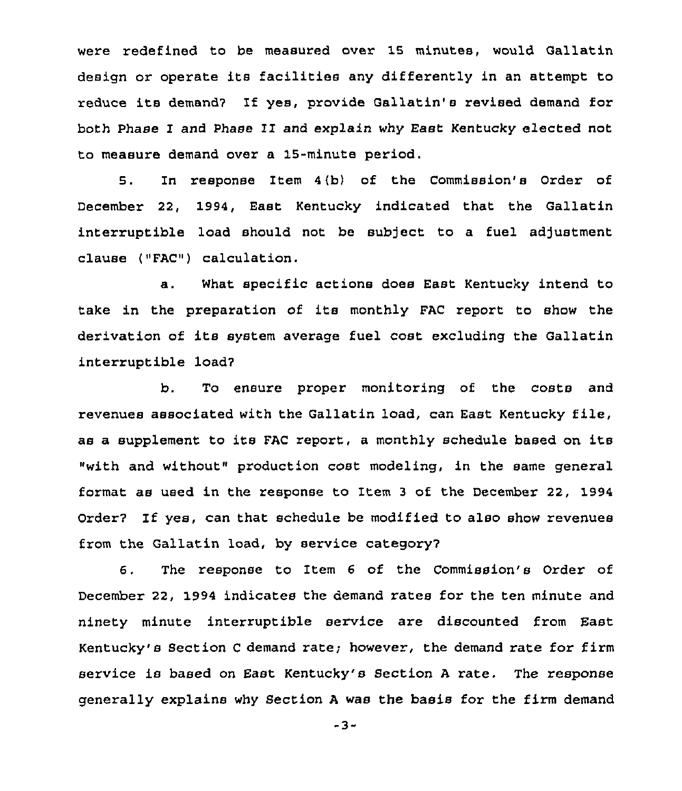were redefined to be measured over 15 minutes, would Gallatin design or operate its facilities any differently in an attempt to reduce its demand2 If yes, provide Gallatin's revised demand for both Phase I and Phase II and explain why East Kentucky elected not to measure demand over a 15-minute period.

5. In response Item 4{b) of the Commission's Order of December 22, 1994, East Kentucky indicated that the Gallatin interruptible load should not be subject to a fuel adjustment clause ("FAC") calculation.

a. What specific actions does East Kentucky intend to take in the preparation of its monthly FAC report to show the derivation of its system average fuel cost excluding the Gallatin interruptible load7

b. To ensure proper monitoring of the costs and revenues associated with the Gallatin load, can East Kentucky file, as a supplement to its FAC report, a monthly schedule based on its "with and without" production cost modeling, in the same general format as used in the response to Item <sup>3</sup> of the December 22, 1994 Order2 If yes, can that schedule be modified to also show revenues from the Gallatin load, by service category'.

The response to Item 6 of the Commission's Order of 6. December 22, 1994 indicates the demand rates for the ten minute and ninety minute interruptible service are discounted from East Kentucky's Section <sup>C</sup> demand rate; however, the demand rate for firm service is based on East Kentucky's Section <sup>A</sup> rate. The response generally explains why Section <sup>A</sup> was the basis for the firm demand

-3-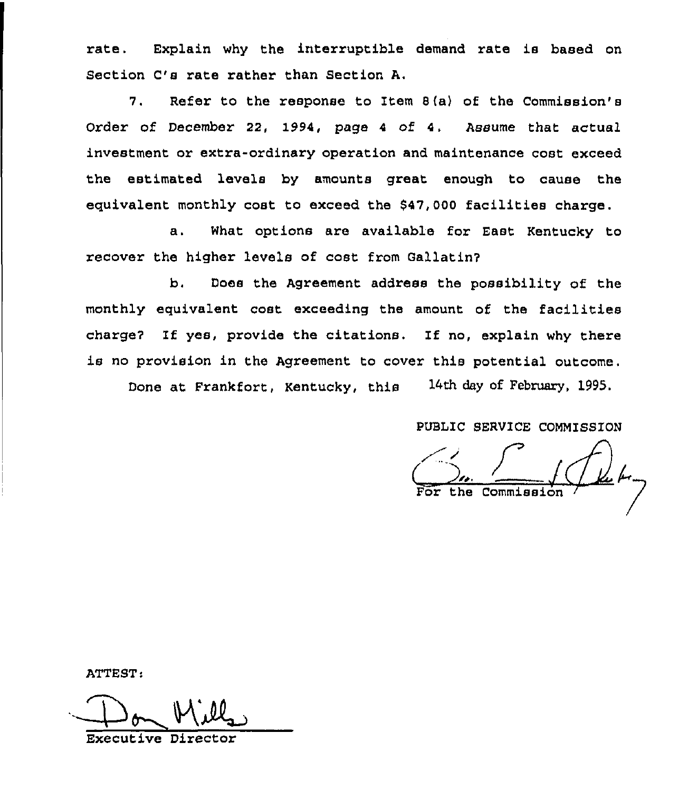rate. Explain why the interruptible demand rate is based on Section C's rate rather than Section A.

7. Refer to the response to Item 8 {a) of the Commission's Order of December 22, 1994, page <sup>4</sup> of 4. Assume that actual investment or extra-ordinary operation and maintenance cost exceed the estimated levels by amounts great enough to cause the equivalent monthly cost to exceed the \$47,000 facilities charge.

a. What options are available for East Kentucky to recover the higher levels of cost from Gallatin?

b. Does the Agreement address the possibility of the monthly equivalent cost exceeding the amount of the facilities charge7 If yes, provide the citations. If no, explain why there is no provision in the Agreement to cover this potential outcome. Done at Frankfort, Kentucky, this 14th day of February, 1995.

PUBLIC SERVICE COMMISSION

 $\overline{\zeta}$ o',. For the Commissio

ATTEST

Executive Directo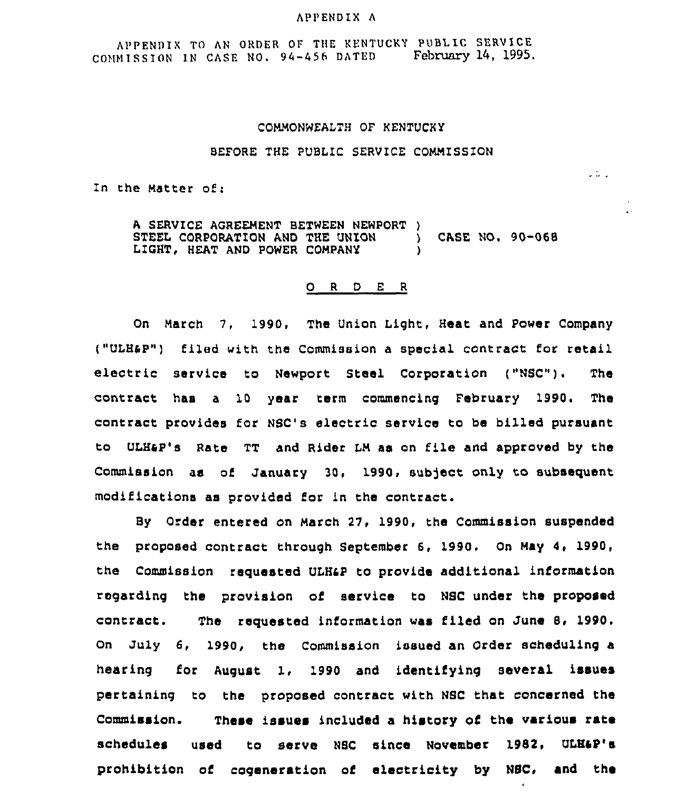#### APPENDIX <sup>A</sup>

APPENDIX TO AN ORDER OF THE KENTUCKY PUBLIC SERVICE COMMISSION IN CASE NO. 94-456 DATED February 14, 1995.

### COMMONWEALTH OF KENTUCKY

#### BEFORE THE PUBLIC SERVICE COMMISSION

 $\sim$  .

In the Matter of:

A SERVICE AGREEMENT BETWEEN NEWPORT )<br>STEEL CORPORATION AND THE UNION STEEL CORPORATION AND THE UNION ) CASE NO. 90-068 LIGHT, HEAT AND POWER COMPANY

#### 0 <sup>R</sup> <sup>D</sup> <sup>E</sup> <sup>R</sup>

On March 7, 1990, The Union Light, Heat and Power Company ("ULH&P") filed with the Commission a special contract for retail electric service to Newport Steel Corporation ("NSC"). The contract has a 10 year term commencing February 1990. The contract provides for NSC's electric service to be billed pursuant to ULHap's Rate TT and Rider LM as on file and approved by tha Commission as of January 30, 1990, subject only to subsequent modifications as provided for in the contract.

BY Order entered on March 27, 1990, the Commission suspended the proposed contract through September 6, 1990, On May 4, 1990, the Commission requested ULHap to provide additional information regarding the provision of service to NSC under tha proposed contract. The requested information was filed on June 8, 1990. On July 6, 1990, the Commission issued an Order scheduling a hearing for August 1, 1990 and identifying several issues pertaining to the proposed contract with NSC that concerned the Commission. These issues included a history of the various rate schedules used to serve NSC since November 1982, ULH&P's prohibition of cogeneration of electricity by NSC, and the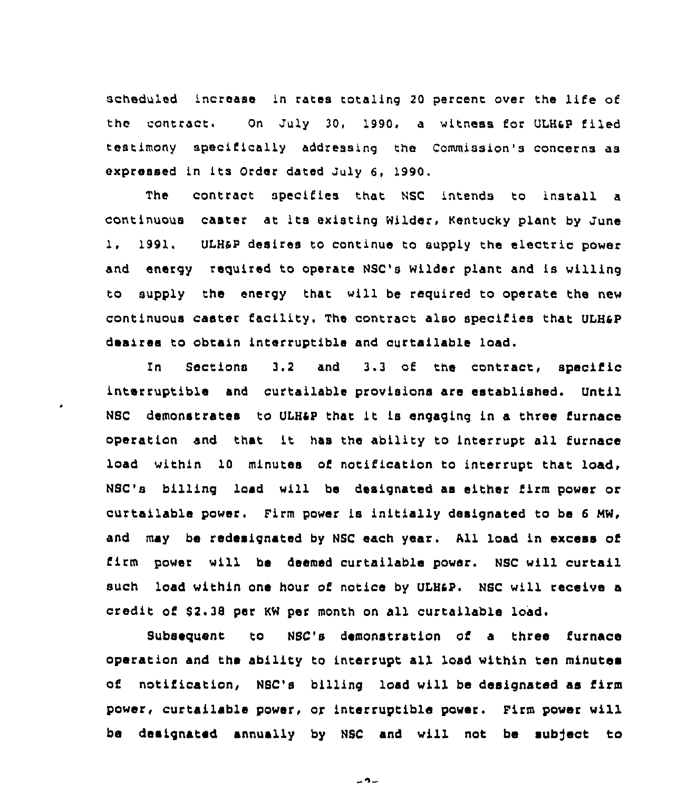scheduled increase in rates totaling <sup>20</sup> percent over the life of the contract. On July 30, 1990, a witness for ULH&P filed testimony specifically addressing the Commission's concerns as expressed in its Order dated July 6, 1990.

The contract specifies that NSC intends to install a continuous caster at its existing Wilder, Kentucky plant by June 1, 1991. ULH&P desires to continue to supply the electric power and energy required to operate NSC's Wilder plant and is willing to supply the energy that will be required to operate the new continuous caster facility. The contract also specifies that ULHsp desires to obtain interruptible and curtsilable load.

ln Sections 3.2 and 3.3 of the contract, specific interruptible snd curtailable provisions are established. Until NSc demonstrates to ULHsp that it is engaging in a three furnace operation and that it has rhe ability to interrupt all furnace load within 10 minutes of notification to interrupt that load, NSC's billing load will be designated as either firm power or curtailable power. Firm power is initially designated to be 6 MW, and may be redesignated by NSC each year. All load in excess of firm power will be deemed curtailable power. NSC will curtail such load within one hour of notice by ULH&P. NSC will receive a credit of 82.38 per KW per month on all curtallable load.

Subsequent to NSC's demonstration of a three furnace operation and the ability to interrupt all load within ten minutes of notification, NSC's billing load will be designated as firm power, curtailable power, or interruptible power. Pirm power will be designated annually by NSC and will not be subject to

 $-9-$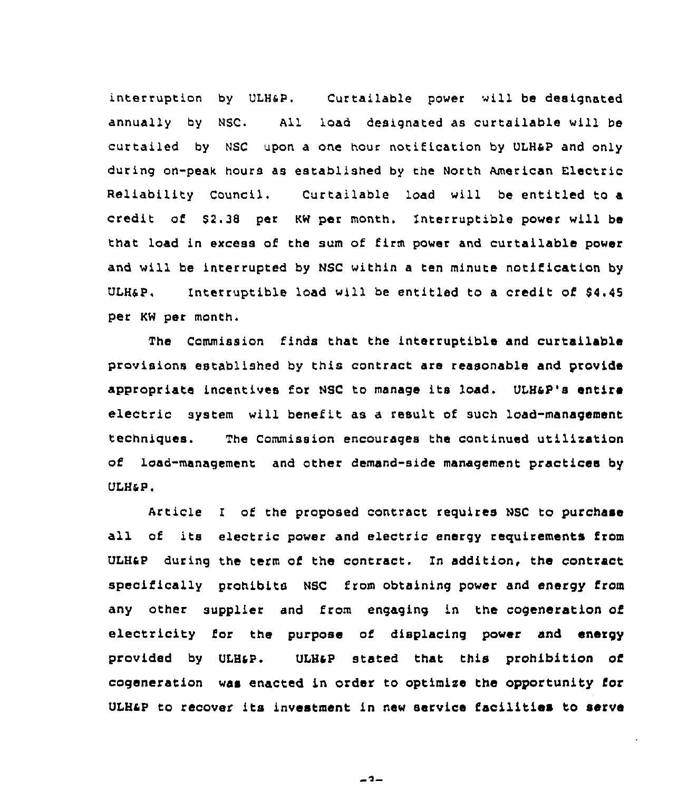interruption by ULHsP. Curtailable power will be designated annually by NSC. All load designated as curtailable will be curtailed by Nsc upon a one hour notification by ULHsp and only during on-peak hours as established by the North American Electric Reliability Council. Curtailable load will be entitled to a credit of S2.38 per KN per month. Interruptible power will be that load in excess of the sum of firm power and curtailable power and will be interrupted by NSC within a ten minute notification by ULH&P. Interruptible load will be entitled to a credit of \$4.45 per KN per month.

The Commission finds that the interruptible and curtailable provisions established by this contract are reasonable and provide appropriate incentives for NSC to manage its load. ULHap's entire electric system will benefit as a result ot such load-management techniques. The Commission encourages the continued utilisation of load-management and other demand-side management practices by ULH&P.

Article I of the proposed contract requires NSC to purchase all of its electric power and electric energy requirements from ULHsp during the term of the contract. In addition, the contract specifically prohibits NSC from obtaining power and energy from any other supplier and from engaging in the cogeneration of electricity for the purpose of displacing power and energy provided by ULH&P. ULH&P stated that this prohibition of cogeneration waa enacted in order to optimise the opportunity for ULHsp to recover its investment 1n new service facilities to serve

 $-2-$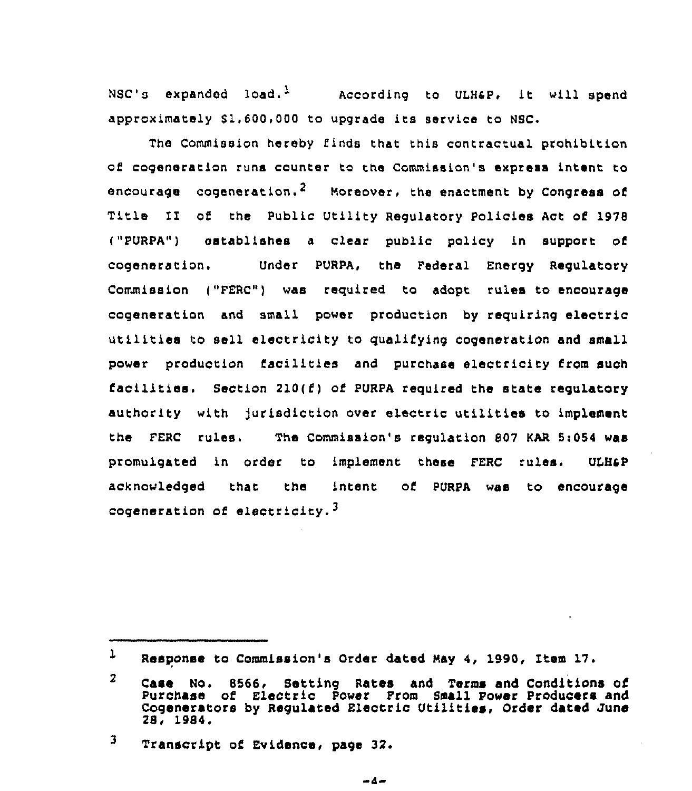NSC's expanded load.<sup>1</sup> According to ULH&P, it will spend approximately \$1,600,000 to upgrade its service to NSC.

The Commission hereby finds that this contractual prohibition of cogeneration runs counter to the Commission's express intent to encourage cogeneration.<sup>2</sup> Moreover, the enactment by Congress of Title II of the Public Utility Requlatory Policies Act of 1978 ("PURPA") establishes a clear public policy in support of cogeneration. Under PURPA, the Federal Energy Regulatory Commission ("PERC") was required to adopt rules to encourage cogeneration and small power production by requiring electric utilities to sell electricity to qualifying cogeneration and small power production facilities and purchase electricity from such facilities. Section  $210(f)$  of PURPA required the state regulatory authority with jurisdiction over electric utilities to implement the FERC rules. The Commission's requlation 807 KAR 5:054 was promulgated in order to implement these FERC rules. ULH&P acknowledged thar. the intent of PURPA was to encourage cogeneration of electricity.<sup>3</sup>

 $\mathbf{L}$ Response to Commission's Order dated May 4, 1990, Xtem 17.

 $\overline{2}$ Case No. 8566, Setting Rates and Terms and Conditions of Purchase of Electric Power Prom Small Power Producers and Cogenerators by Regulated Electric Utilities, Order dated June 28, 1984.

<sup>3</sup> Transcript of Evidence, page 32.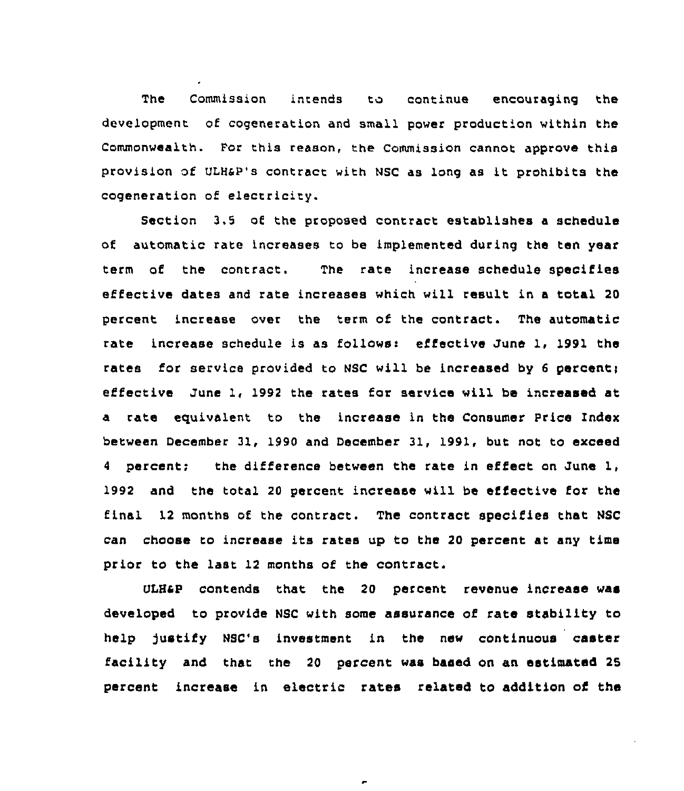The Commission intends to continue encouraging the development of cogeneration and small power production within the Commonwealth. For this reason, the Commission cannot approve this provision of ULHkP's contract with NSC as long as it prohibits the cogeneration of electricity.

Section 3.5 of the proposed contract establishes a schedule of automatic rare increases to be implemented during the ten year term of the contract. The rate increase schedule specifies effective dates and rate increases which will result in a total 20 percent increase over the term of the contract. The automatic rate increase schedule is as follows: effective June 1, 1991 the rates for service provided to NSC will be increased by 6 percent; effective June 1, 1992 the rates for service will be increased at a rate equivalent to the increase in the Consumer Price Index between December 31, 1990 and December 31, 1991, but not to exceed 4 percent; the difference between the rate in effect on June 1, 1992 and the total 20 percent increase will be effective for the final 12 months of the contract. The contract specifies that NSC can choose ro increase its rates up to the <sup>20</sup> percent at any time prior to the last 12 months of the contract.

ULHsp contends that the 20 percent revenue increase was developed to provide NSC with some assurance of rate stability to help justify Nsc's investment in the new continuous caster facility and that the <sup>20</sup> percent was based on an estimated 25 percent increase in electric rates related to addition of the

 $\epsilon$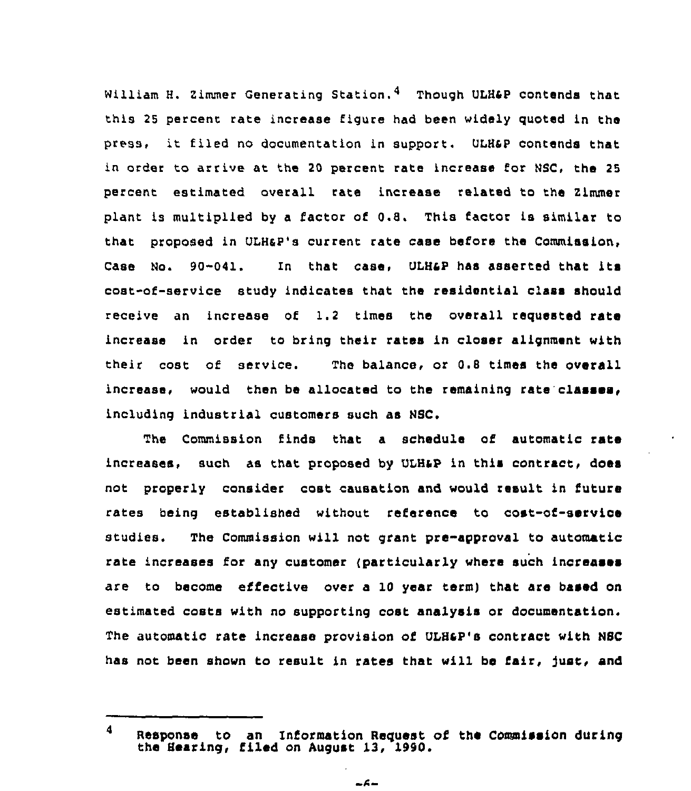William H. Zimmer Generating Station.<sup>4</sup> Though ULH&P contends that this 25 percent rate increase figure had been widely quoted in the press, it filed no documentation in support. ULHsp contends that in order to arrive at the 20 percent rate increase for NSC, the 25 percent estimated overall rate increase related to the 2lmmer plant is multiplied by <sup>a</sup> factor of 0.8. This factor is similar to that proposed in ULHaP's current rate case before the Commission, case No. 90-041. In that case, ULHaP has asserted that its cost-of-service study indicates that the residential class should receive an increase of 1.2 times the overall requested rate increase in order to bring their rates in closer alignment with their cost of service. The balance, or 0.8 times the overall increase, would then be allocated to the remaining rate'classes, including industrial customers such as NSC.

The Commission finds that a schedule of automatic rate increases, such as that proposed by ULH&P in this contract, does not properly consider cost causation and would result in future rates being established without reference to cost-of-service studies. The Commission will not grant pre-approval to automatic rate increases for any customer {particularly where such increases are to become effective over a 10 year term) that are based on estimated costs with no supporting cost analysis or documentation, The automatic rate increase provision of ULBaP's contract with NSC has not been shown to result in rates that will be fair, just, and

<sup>4</sup> Response to an Information Request of the Commission during the Hearing, filed on August 13, 1990.